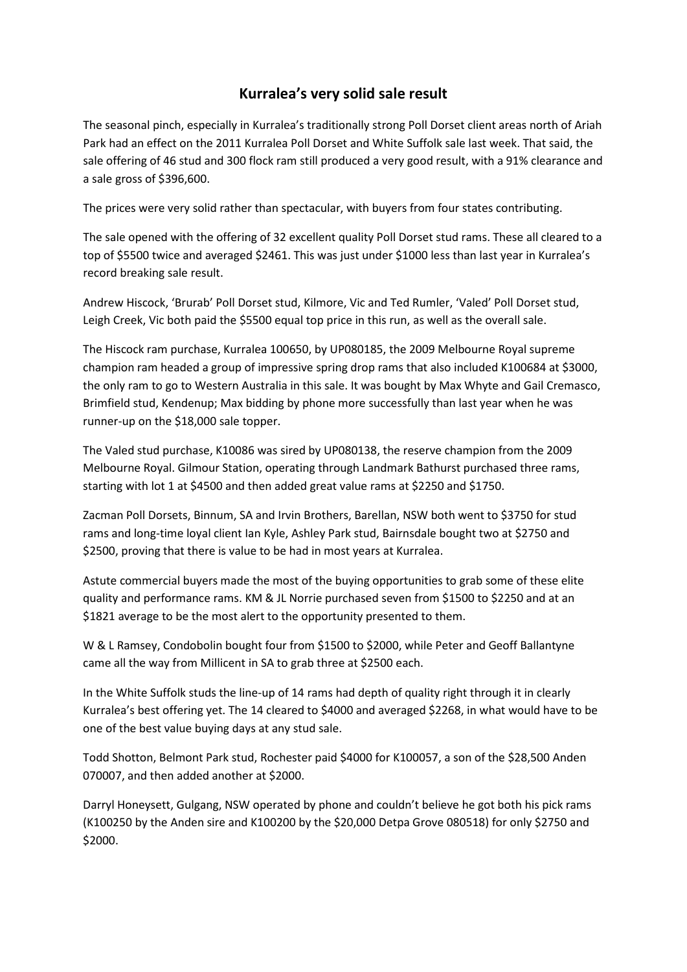## **Kurralea's very solid sale result**

The seasonal pinch, especially in Kurralea's traditionally strong Poll Dorset client areas north of Ariah Park had an effect on the 2011 Kurralea Poll Dorset and White Suffolk sale last week. That said, the sale offering of 46 stud and 300 flock ram still produced a very good result, with a 91% clearance and a sale gross of \$396,600.

The prices were very solid rather than spectacular, with buyers from four states contributing.

The sale opened with the offering of 32 excellent quality Poll Dorset stud rams. These all cleared to a top of \$5500 twice and averaged \$2461. This was just under \$1000 less than last year in Kurralea's record breaking sale result.

Andrew Hiscock, 'Brurab' Poll Dorset stud, Kilmore, Vic and Ted Rumler, 'Valed' Poll Dorset stud, Leigh Creek, Vic both paid the \$5500 equal top price in this run, as well as the overall sale.

The Hiscock ram purchase, Kurralea 100650, by UP080185, the 2009 Melbourne Royal supreme champion ram headed a group of impressive spring drop rams that also included K100684 at \$3000, the only ram to go to Western Australia in this sale. It was bought by Max Whyte and Gail Cremasco, Brimfield stud, Kendenup; Max bidding by phone more successfully than last year when he was runner-up on the \$18,000 sale topper.

The Valed stud purchase, K10086 was sired by UP080138, the reserve champion from the 2009 Melbourne Royal. Gilmour Station, operating through Landmark Bathurst purchased three rams, starting with lot 1 at \$4500 and then added great value rams at \$2250 and \$1750.

Zacman Poll Dorsets, Binnum, SA and Irvin Brothers, Barellan, NSW both went to \$3750 for stud rams and long-time loyal client Ian Kyle, Ashley Park stud, Bairnsdale bought two at \$2750 and \$2500, proving that there is value to be had in most years at Kurralea.

Astute commercial buyers made the most of the buying opportunities to grab some of these elite quality and performance rams. KM & JL Norrie purchased seven from \$1500 to \$2250 and at an \$1821 average to be the most alert to the opportunity presented to them.

W & L Ramsey, Condobolin bought four from \$1500 to \$2000, while Peter and Geoff Ballantyne came all the way from Millicent in SA to grab three at \$2500 each.

In the White Suffolk studs the line-up of 14 rams had depth of quality right through it in clearly Kurralea's best offering yet. The 14 cleared to \$4000 and averaged \$2268, in what would have to be one of the best value buying days at any stud sale.

Todd Shotton, Belmont Park stud, Rochester paid \$4000 for K100057, a son of the \$28,500 Anden 070007, and then added another at \$2000.

Darryl Honeysett, Gulgang, NSW operated by phone and couldn't believe he got both his pick rams (K100250 by the Anden sire and K100200 by the \$20,000 Detpa Grove 080518) for only \$2750 and \$2000.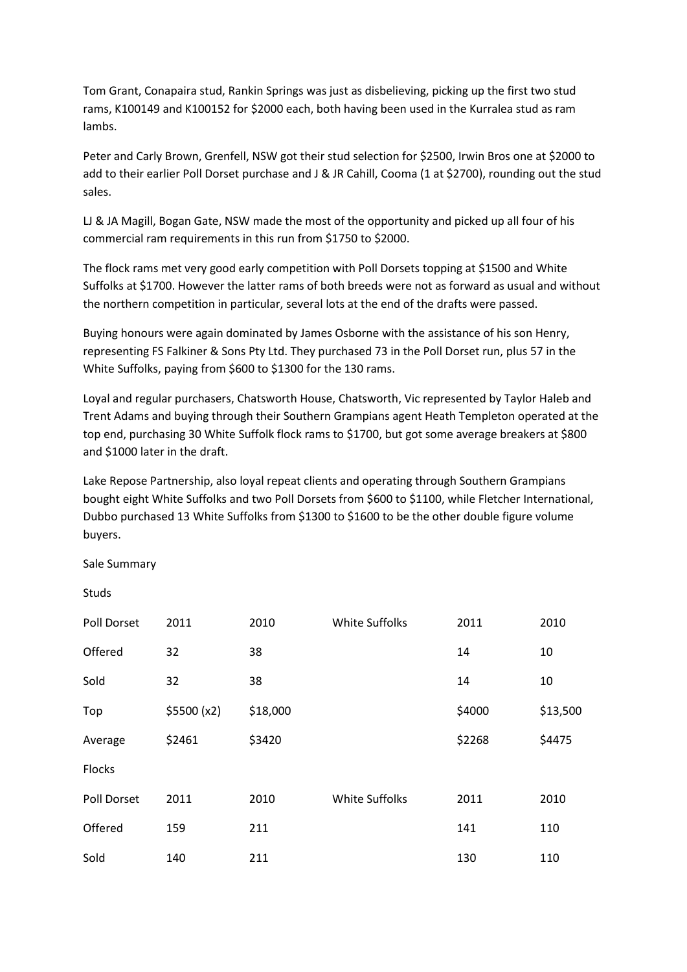Tom Grant, Conapaira stud, Rankin Springs was just as disbelieving, picking up the first two stud rams, K100149 and K100152 for \$2000 each, both having been used in the Kurralea stud as ram lambs.

Peter and Carly Brown, Grenfell, NSW got their stud selection for \$2500, Irwin Bros one at \$2000 to add to their earlier Poll Dorset purchase and J & JR Cahill, Cooma (1 at \$2700), rounding out the stud sales.

LJ & JA Magill, Bogan Gate, NSW made the most of the opportunity and picked up all four of his commercial ram requirements in this run from \$1750 to \$2000.

The flock rams met very good early competition with Poll Dorsets topping at \$1500 and White Suffolks at \$1700. However the latter rams of both breeds were not as forward as usual and without the northern competition in particular, several lots at the end of the drafts were passed.

Buying honours were again dominated by James Osborne with the assistance of his son Henry, representing FS Falkiner & Sons Pty Ltd. They purchased 73 in the Poll Dorset run, plus 57 in the White Suffolks, paying from \$600 to \$1300 for the 130 rams.

Loyal and regular purchasers, Chatsworth House, Chatsworth, Vic represented by Taylor Haleb and Trent Adams and buying through their Southern Grampians agent Heath Templeton operated at the top end, purchasing 30 White Suffolk flock rams to \$1700, but got some average breakers at \$800 and \$1000 later in the draft.

Lake Repose Partnership, also loyal repeat clients and operating through Southern Grampians bought eight White Suffolks and two Poll Dorsets from \$600 to \$1100, while Fletcher International, Dubbo purchased 13 White Suffolks from \$1300 to \$1600 to be the other double figure volume buyers.

Sale Summary

Studs

| Poll Dorset   | 2011        | 2010     | <b>White Suffolks</b> | 2011   | 2010     |
|---------------|-------------|----------|-----------------------|--------|----------|
| Offered       | 32          | 38       |                       | 14     | 10       |
| Sold          | 32          | 38       |                       | 14     | 10       |
| Top           | \$5500 (x2) | \$18,000 |                       | \$4000 | \$13,500 |
| Average       | \$2461      | \$3420   |                       | \$2268 | \$4475   |
| <b>Flocks</b> |             |          |                       |        |          |
| Poll Dorset   | 2011        | 2010     | <b>White Suffolks</b> | 2011   | 2010     |
| Offered       | 159         | 211      |                       | 141    | 110      |
| Sold          | 140         | 211      |                       | 130    | 110      |